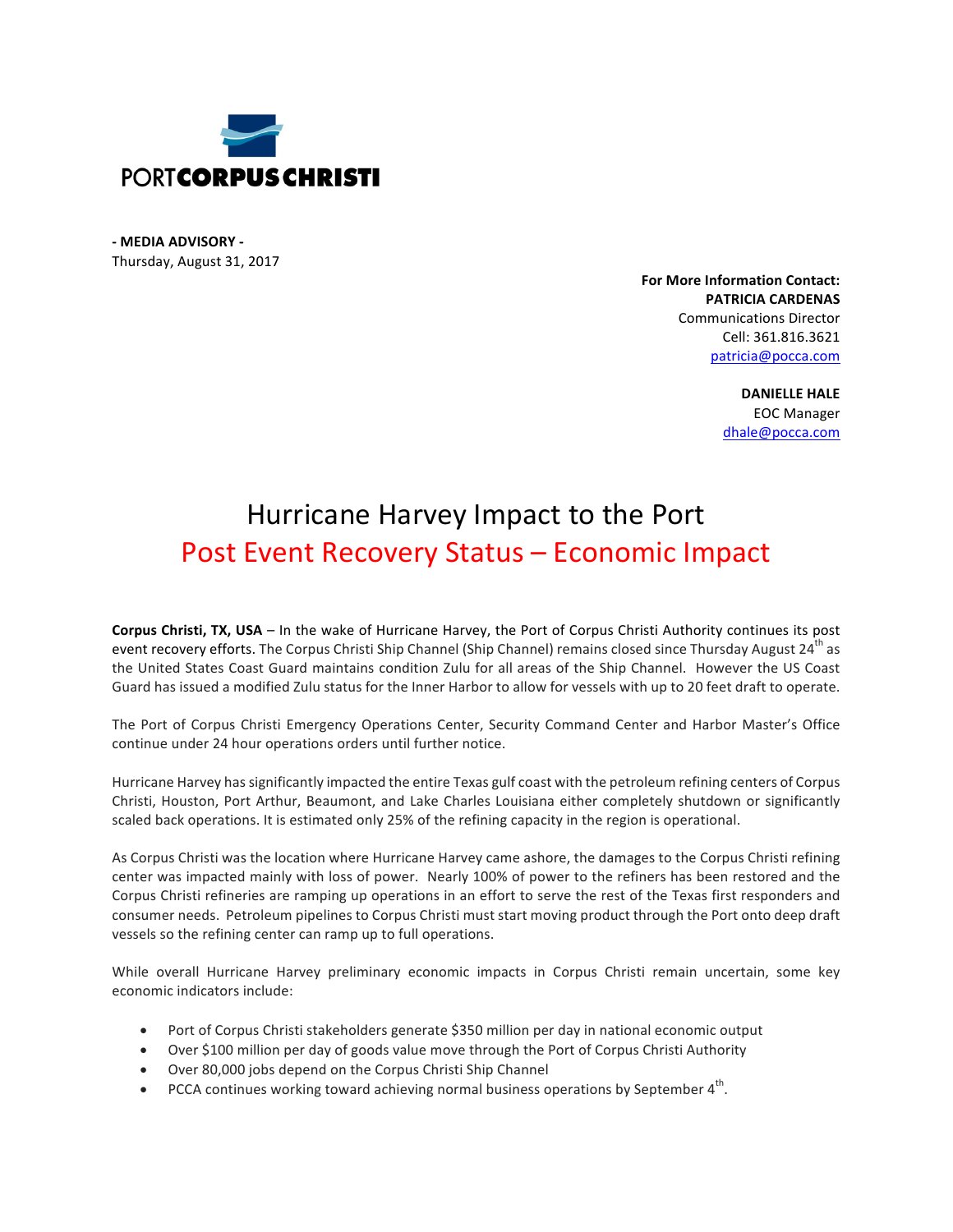

**- MEDIA ADVISORY -** Thursday, August 31, 2017

> **For More Information Contact: PATRICIA CARDENAS** Communications Director Cell: 361.816.3621 patricia@pocca.com

> > **DANIELLE HALE** EOC Manager dhale@pocca.com

## Hurricane Harvey Impact to the Port Post Event Recovery Status - Economic Impact

**Corpus Christi, TX, USA** – In the wake of Hurricane Harvey, the Port of Corpus Christi Authority continues its post event recovery efforts. The Corpus Christi Ship Channel (Ship Channel) remains closed since Thursday August 24<sup>th</sup> as the United States Coast Guard maintains condition Zulu for all areas of the Ship Channel. However the US Coast Guard has issued a modified Zulu status for the Inner Harbor to allow for vessels with up to 20 feet draft to operate.

The Port of Corpus Christi Emergency Operations Center, Security Command Center and Harbor Master's Office continue under 24 hour operations orders until further notice.

Hurricane Harvey has significantly impacted the entire Texas gulf coast with the petroleum refining centers of Corpus Christi, Houston, Port Arthur, Beaumont, and Lake Charles Louisiana either completely shutdown or significantly scaled back operations. It is estimated only 25% of the refining capacity in the region is operational.

As Corpus Christi was the location where Hurricane Harvey came ashore, the damages to the Corpus Christi refining center was impacted mainly with loss of power. Nearly 100% of power to the refiners has been restored and the Corpus Christi refineries are ramping up operations in an effort to serve the rest of the Texas first responders and consumer needs. Petroleum pipelines to Corpus Christi must start moving product through the Port onto deep draft vessels so the refining center can ramp up to full operations.

While overall Hurricane Harvey preliminary economic impacts in Corpus Christi remain uncertain, some key economic indicators include:

- Port of Corpus Christi stakeholders generate \$350 million per day in national economic output
- Over \$100 million per day of goods value move through the Port of Corpus Christi Authority
- Over 80,000 jobs depend on the Corpus Christi Ship Channel
- PCCA continues working toward achieving normal business operations by September  $4<sup>th</sup>$ .